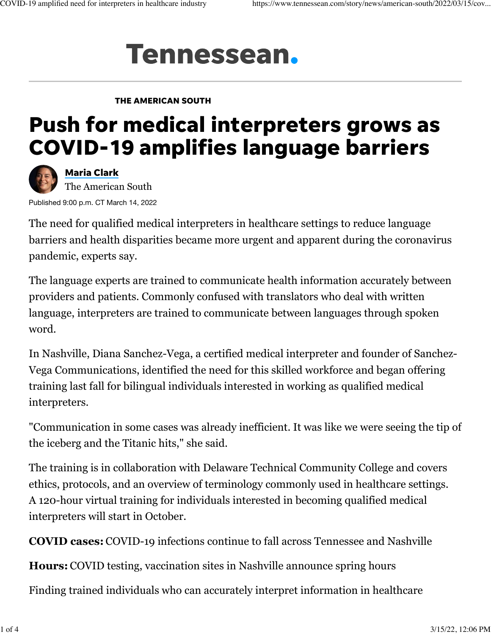## **Tennessean.**

## THE AMERICAN SOUTH

## Push for medical interpreters grows as COVID-19 amplifies language barriers



[Maria Clark](https://www.theadvertiser.com/staff/4395512002/maria-clark/) The American South

Published 9:00 p.m. CT March 14, 2022

The need for qualified medical interpreters in healthcare settings to reduce language barriers and health disparities became more urgent and apparent during the coronavirus pandemic, experts say.

The language experts are trained to communicate health information accurately between providers and patients. Commonly confused with translators who deal with written language, interpreters are trained to communicate between languages through spoken word.

In Nashville, Diana Sanchez-Vega, a certified medical interpreter and founder of [Sanchez-](https://www.sanchez-vega.net/)[Vega Communications](https://www.sanchez-vega.net/), identified the need for this skilled workforce and began offering training last fall for bilingual individuals interested in working as qualified medical interpreters.

"Communication in some cases was already inefficient. It was like we were seeing the tip of the iceberg and the Titanic hits," she said.

The training is in collaboration with Delaware Technical Community College and covers ethics, protocols, and an overview of terminology commonly used in healthcare settings. A 120-hour virtual training for individuals interested in becoming qualified medical interpreters will start in October.

**COVID cases:** [COVID-19 infections continue to fall across Tennessee and Nashville](https://www.tennessean.com/story/news/2022/03/09/covid-19-infections-slow-across-tennessee-and-nashville/9447003002/)

**Hours:** [COVID testing, vaccination sites in Nashville announce spring hours](https://www.tennessean.com/story/news/health/2022/03/09/nashville-covid-testing-vaccination-sites-set-spring-hours/9439962002/)

Finding trained individuals who can accurately interpret information in healthcare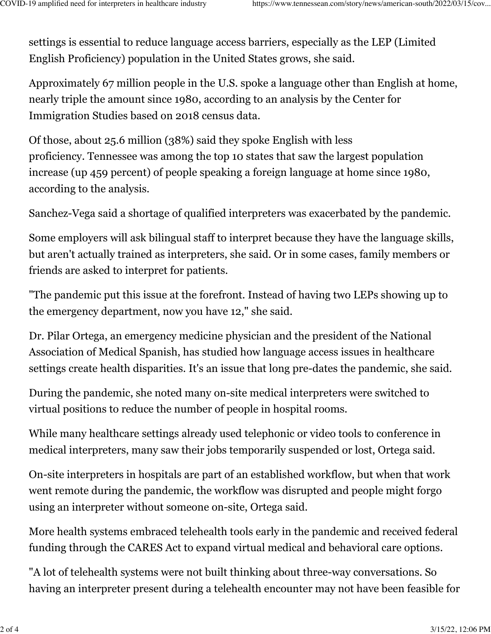settings is essential to reduce language access barriers, especially as the LEP (Limited English Proficiency) population in the United States grows, she said.

Approximately 67 million people in the U.S. spoke a language other than English at home, nearly triple the amount since 1980, according to an [analysis by the Center for](https://cis.org/Report/673-Million-United-States-Spoke-Foreign-Language-Home-2018) [Immigration Studies](https://cis.org/Report/673-Million-United-States-Spoke-Foreign-Language-Home-2018) based on 2018 census data.

Of those, about 25.6 million (38%) said they spoke English with less proficiency. Tennessee was among the top 10 states that saw the largest population increase (up 459 percent) of people speaking a foreign language at home since 1980, according to the analysis.

Sanchez-Vega said a shortage of qualified interpreters was exacerbated by the pandemic.

Some employers will ask bilingual staff to interpret because they have the language skills, but aren't actually trained as interpreters, she said. Or in some cases, family members or friends are asked to interpret for patients.

"The pandemic put this issue at the forefront. Instead of having two LEPs showing up to the emergency department, now you have 12," she said.

Dr. Pilar Ortega, an emergency medicine physician and the president of the National Association of Medical Spanish, has studied how language access issues in healthcare settings create health disparities. It's an issue that long pre-dates the pandemic, she said.

During the pandemic, she noted many on-site medical interpreters were switched to virtual positions to reduce the number of people in hospital rooms.

While many healthcare settings already used telephonic or video tools to conference in medical interpreters, many saw their jobs temporarily suspended or lost, Ortega said.

On-site interpreters in hospitals are part of an established workflow, but when that work went remote during the pandemic, the workflow was disrupted and people might forgo using an interpreter without someone on-site, Ortega said.

More health systems embraced telehealth tools early in the pandemic and received federal funding through the CARES Act [to expand virtual medical and behavioral care options.](https://www.fcc.gov/covid-19-telehealth-program-invoices-reimbursements#:~:text=The%20COVID%2D19%20Telehealth%20Program%20provides%20%24200%20million%20in%20funding,to%20the%20COVID%2D19%20pandemic.)

"A lot of telehealth systems were not built thinking about three-way conversations. So having an interpreter present during a telehealth encounter may not have been feasible for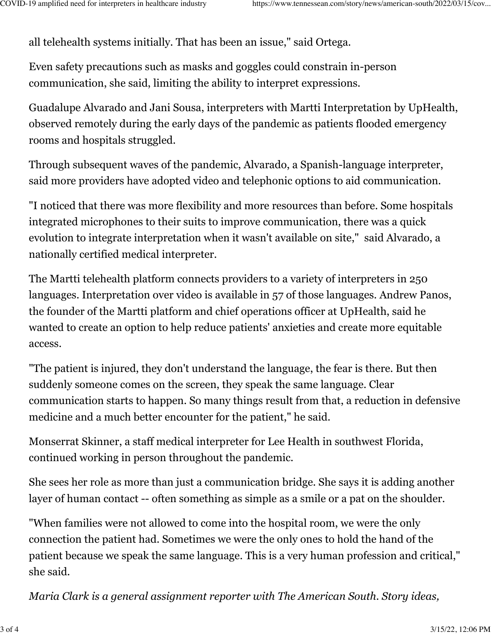all telehealth systems initially. That has been an issue," said Ortega.

Even safety precautions such as masks and goggles could constrain in-person communication, she said, limiting the ability to interpret expressions.

Guadalupe Alvarado and Jani Sousa, interpreters with [Martti Interpretation by UpHealth,](https://www.martti.us/) observed remotely during the early days of the pandemic as patients flooded emergency rooms and hospitals struggled.

Through subsequent waves of the pandemic, Alvarado, a Spanish-language interpreter, said more providers have adopted video and telephonic options to aid communication.

"I noticed that there was more flexibility and more resources than before. Some hospitals integrated microphones to their suits to improve communication, there was a quick evolution to integrate interpretation when it wasn't available on site," said Alvarado, a nationally certified medical interpreter.

The Martti telehealth platform connects providers to a variety of interpreters in 250 languages. Interpretation over video is available in 57 of those languages. Andrew Panos, the founder of the Martti platform and chief operations officer at UpHealth, said he wanted to create an option to help reduce patients' anxieties and create more equitable access.

"The patient is injured, they don't understand the language, the fear is there. But then suddenly someone comes on the screen, they speak the same language. Clear communication starts to happen. So many things result from that, a reduction in defensive medicine and a much better encounter for the patient," he said.

Monserrat Skinner, a staff medical interpreter for Lee Health in southwest Florida, continued working in person throughout the pandemic.

She sees her role as more than just a communication bridge. She says it is adding another layer of human contact -- often something as simple as a smile or a pat on the shoulder.

"When families were not allowed to come into the hospital room, we were the only connection the patient had. Sometimes we were the only ones to hold the hand of the patient because we speak the same language. This is a very human profession and critical," she said.

*Maria Clark is a general assignment reporter with The American South. Story ideas,*